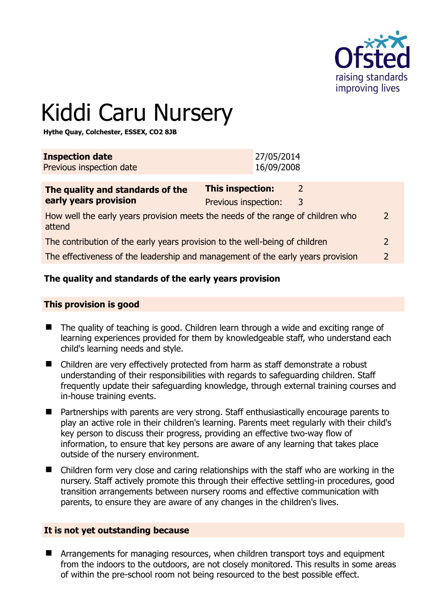

# Kiddi Caru Nursery

**Hythe Quay, Colchester, ESSEX, CO2 8JB** 

| <b>Inspection date</b><br>Previous inspection date                                                                    |                                                 | 27/05/2014<br>16/09/2008 |                    |  |
|-----------------------------------------------------------------------------------------------------------------------|-------------------------------------------------|--------------------------|--------------------|--|
| The quality and standards of the<br>early years provision                                                             | <b>This inspection:</b><br>Previous inspection: |                          | $\mathcal{L}$<br>3 |  |
| How well the early years provision meets the needs of the range of children who<br>$\overline{\phantom{0}}$<br>attend |                                                 |                          |                    |  |
| The contribution of the early years provision to the well-being of children<br>$\overline{2}$                         |                                                 |                          |                    |  |
| $\overline{\phantom{0}}$<br>The effectiveness of the leadership and management of the early years provision           |                                                 |                          |                    |  |
|                                                                                                                       |                                                 |                          |                    |  |

## **The quality and standards of the early years provision**

#### **This provision is good**

- The quality of teaching is good. Children learn through a wide and exciting range of learning experiences provided for them by knowledgeable staff, who understand each child's learning needs and style.
- Children are very effectively protected from harm as staff demonstrate a robust understanding of their responsibilities with regards to safeguarding children. Staff frequently update their safeguarding knowledge, through external training courses and in-house training events.
- Partnerships with parents are very strong. Staff enthusiastically encourage parents to play an active role in their children's learning. Parents meet regularly with their child's key person to discuss their progress, providing an effective two-way flow of information, to ensure that key persons are aware of any learning that takes place outside of the nursery environment.
- Children form very close and caring relationships with the staff who are working in the nursery. Staff actively promote this through their effective settling-in procedures, good transition arrangements between nursery rooms and effective communication with parents, to ensure they are aware of any changes in the children's lives.

#### **It is not yet outstanding because**

**E** Arrangements for managing resources, when children transport toys and equipment from the indoors to the outdoors, are not closely monitored. This results in some areas of within the pre-school room not being resourced to the best possible effect.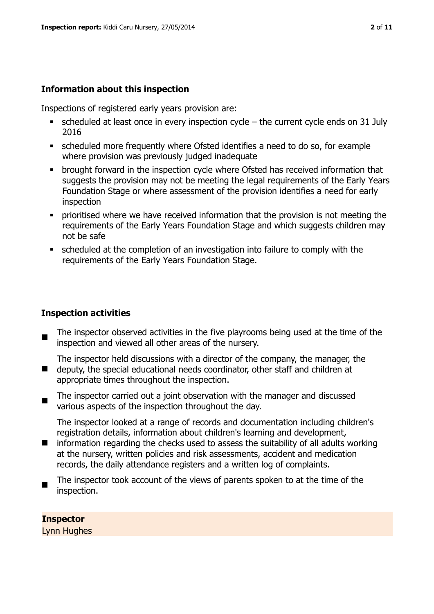#### **Information about this inspection**

Inspections of registered early years provision are:

- $\bullet$  scheduled at least once in every inspection cycle the current cycle ends on 31 July 2016
- scheduled more frequently where Ofsted identifies a need to do so, for example where provision was previously judged inadequate
- **•** brought forward in the inspection cycle where Ofsted has received information that suggests the provision may not be meeting the legal requirements of the Early Years Foundation Stage or where assessment of the provision identifies a need for early inspection
- **Prioritised where we have received information that the provision is not meeting the** requirements of the Early Years Foundation Stage and which suggests children may not be safe
- scheduled at the completion of an investigation into failure to comply with the requirements of the Early Years Foundation Stage.

#### **Inspection activities**

- $\blacksquare$ The inspector observed activities in the five playrooms being used at the time of the inspection and viewed all other areas of the nursery.
- $\blacksquare$ The inspector held discussions with a director of the company, the manager, the deputy, the special educational needs coordinator, other staff and children at appropriate times throughout the inspection.
- $\blacksquare$ The inspector carried out a joint observation with the manager and discussed various aspects of the inspection throughout the day.

The inspector looked at a range of records and documentation including children's registration details, information about children's learning and development,

- $\blacksquare$ information regarding the checks used to assess the suitability of all adults working at the nursery, written policies and risk assessments, accident and medication records, the daily attendance registers and a written log of complaints.
- The inspector took account of the views of parents spoken to at the time of the inspection.

#### **Inspector**

Lynn Hughes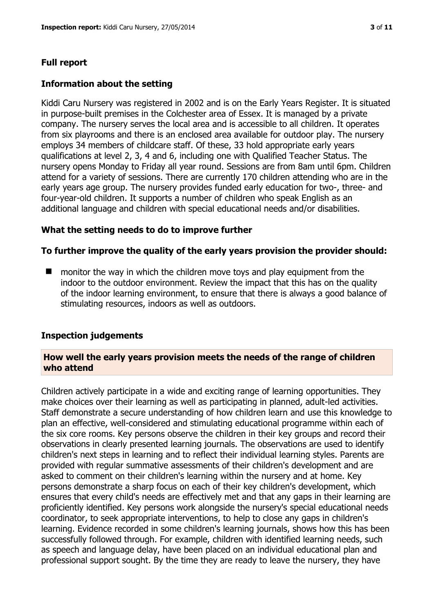# **Full report**

#### **Information about the setting**

Kiddi Caru Nursery was registered in 2002 and is on the Early Years Register. It is situated in purpose-built premises in the Colchester area of Essex. It is managed by a private company. The nursery serves the local area and is accessible to all children. It operates from six playrooms and there is an enclosed area available for outdoor play. The nursery employs 34 members of childcare staff. Of these, 33 hold appropriate early years qualifications at level 2, 3, 4 and 6, including one with Qualified Teacher Status. The nursery opens Monday to Friday all year round. Sessions are from 8am until 6pm. Children attend for a variety of sessions. There are currently 170 children attending who are in the early years age group. The nursery provides funded early education for two-, three- and four-year-old children. It supports a number of children who speak English as an additional language and children with special educational needs and/or disabilities.

#### **What the setting needs to do to improve further**

#### **To further improve the quality of the early years provision the provider should:**

 $\blacksquare$  monitor the way in which the children move toys and play equipment from the indoor to the outdoor environment. Review the impact that this has on the quality of the indoor learning environment, to ensure that there is always a good balance of stimulating resources, indoors as well as outdoors.

#### **Inspection judgements**

#### **How well the early years provision meets the needs of the range of children who attend**

Children actively participate in a wide and exciting range of learning opportunities. They make choices over their learning as well as participating in planned, adult-led activities. Staff demonstrate a secure understanding of how children learn and use this knowledge to plan an effective, well-considered and stimulating educational programme within each of the six core rooms. Key persons observe the children in their key groups and record their observations in clearly presented learning journals. The observations are used to identify children's next steps in learning and to reflect their individual learning styles. Parents are provided with regular summative assessments of their children's development and are asked to comment on their children's learning within the nursery and at home. Key persons demonstrate a sharp focus on each of their key children's development, which ensures that every child's needs are effectively met and that any gaps in their learning are proficiently identified. Key persons work alongside the nursery's special educational needs coordinator, to seek appropriate interventions, to help to close any gaps in children's learning. Evidence recorded in some children's learning journals, shows how this has been successfully followed through. For example, children with identified learning needs, such as speech and language delay, have been placed on an individual educational plan and professional support sought. By the time they are ready to leave the nursery, they have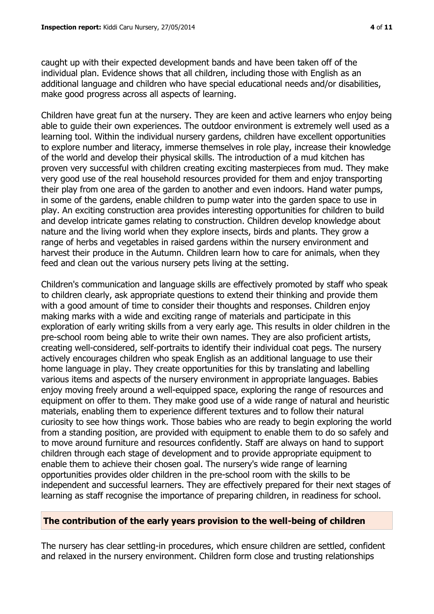caught up with their expected development bands and have been taken off of the individual plan. Evidence shows that all children, including those with English as an additional language and children who have special educational needs and/or disabilities, make good progress across all aspects of learning.

Children have great fun at the nursery. They are keen and active learners who enjoy being able to guide their own experiences. The outdoor environment is extremely well used as a learning tool. Within the individual nursery gardens, children have excellent opportunities to explore number and literacy, immerse themselves in role play, increase their knowledge of the world and develop their physical skills. The introduction of a mud kitchen has proven very successful with children creating exciting masterpieces from mud. They make very good use of the real household resources provided for them and enjoy transporting their play from one area of the garden to another and even indoors. Hand water pumps, in some of the gardens, enable children to pump water into the garden space to use in play. An exciting construction area provides interesting opportunities for children to build and develop intricate games relating to construction. Children develop knowledge about nature and the living world when they explore insects, birds and plants. They grow a range of herbs and vegetables in raised gardens within the nursery environment and harvest their produce in the Autumn. Children learn how to care for animals, when they feed and clean out the various nursery pets living at the setting.

Children's communication and language skills are effectively promoted by staff who speak to children clearly, ask appropriate questions to extend their thinking and provide them with a good amount of time to consider their thoughts and responses. Children enjoy making marks with a wide and exciting range of materials and participate in this exploration of early writing skills from a very early age. This results in older children in the pre-school room being able to write their own names. They are also proficient artists, creating well-considered, self-portraits to identify their individual coat pegs. The nursery actively encourages children who speak English as an additional language to use their home language in play. They create opportunities for this by translating and labelling various items and aspects of the nursery environment in appropriate languages. Babies enjoy moving freely around a well-equipped space, exploring the range of resources and equipment on offer to them. They make good use of a wide range of natural and heuristic materials, enabling them to experience different textures and to follow their natural curiosity to see how things work. Those babies who are ready to begin exploring the world from a standing position, are provided with equipment to enable them to do so safely and to move around furniture and resources confidently. Staff are always on hand to support children through each stage of development and to provide appropriate equipment to enable them to achieve their chosen goal. The nursery's wide range of learning opportunities provides older children in the pre-school room with the skills to be independent and successful learners. They are effectively prepared for their next stages of learning as staff recognise the importance of preparing children, in readiness for school.

#### **The contribution of the early years provision to the well-being of children**

The nursery has clear settling-in procedures, which ensure children are settled, confident and relaxed in the nursery environment. Children form close and trusting relationships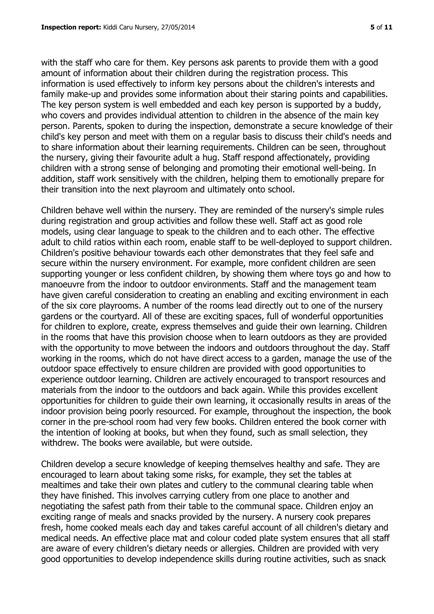with the staff who care for them. Key persons ask parents to provide them with a good amount of information about their children during the registration process. This information is used effectively to inform key persons about the children's interests and family make-up and provides some information about their staring points and capabilities. The key person system is well embedded and each key person is supported by a buddy, who covers and provides individual attention to children in the absence of the main key person. Parents, spoken to during the inspection, demonstrate a secure knowledge of their child's key person and meet with them on a regular basis to discuss their child's needs and to share information about their learning requirements. Children can be seen, throughout the nursery, giving their favourite adult a hug. Staff respond affectionately, providing children with a strong sense of belonging and promoting their emotional well-being. In addition, staff work sensitively with the children, helping them to emotionally prepare for their transition into the next playroom and ultimately onto school.

Children behave well within the nursery. They are reminded of the nursery's simple rules during registration and group activities and follow these well. Staff act as good role models, using clear language to speak to the children and to each other. The effective adult to child ratios within each room, enable staff to be well-deployed to support children. Children's positive behaviour towards each other demonstrates that they feel safe and secure within the nursery environment. For example, more confident children are seen supporting younger or less confident children, by showing them where toys go and how to manoeuvre from the indoor to outdoor environments. Staff and the management team have given careful consideration to creating an enabling and exciting environment in each of the six core playrooms. A number of the rooms lead directly out to one of the nursery gardens or the courtyard. All of these are exciting spaces, full of wonderful opportunities for children to explore, create, express themselves and guide their own learning. Children in the rooms that have this provision choose when to learn outdoors as they are provided with the opportunity to move between the indoors and outdoors throughout the day. Staff working in the rooms, which do not have direct access to a garden, manage the use of the outdoor space effectively to ensure children are provided with good opportunities to experience outdoor learning. Children are actively encouraged to transport resources and materials from the indoor to the outdoors and back again. While this provides excellent opportunities for children to guide their own learning, it occasionally results in areas of the indoor provision being poorly resourced. For example, throughout the inspection, the book corner in the pre-school room had very few books. Children entered the book corner with the intention of looking at books, but when they found, such as small selection, they withdrew. The books were available, but were outside.

Children develop a secure knowledge of keeping themselves healthy and safe. They are encouraged to learn about taking some risks, for example, they set the tables at mealtimes and take their own plates and cutlery to the communal clearing table when they have finished. This involves carrying cutlery from one place to another and negotiating the safest path from their table to the communal space. Children enjoy an exciting range of meals and snacks provided by the nursery. A nursery cook prepares fresh, home cooked meals each day and takes careful account of all children's dietary and medical needs. An effective place mat and colour coded plate system ensures that all staff are aware of every children's dietary needs or allergies. Children are provided with very good opportunities to develop independence skills during routine activities, such as snack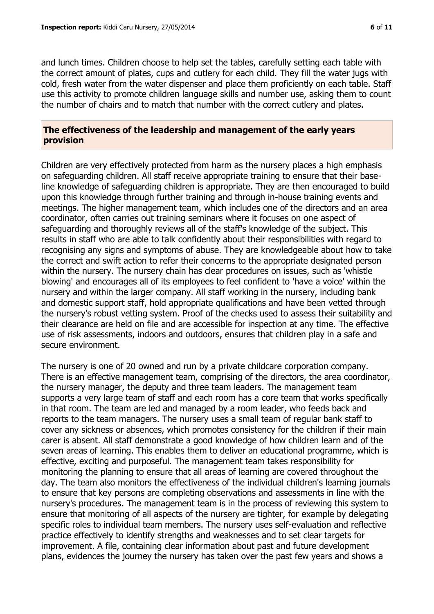and lunch times. Children choose to help set the tables, carefully setting each table with the correct amount of plates, cups and cutlery for each child. They fill the water jugs with cold, fresh water from the water dispenser and place them proficiently on each table. Staff use this activity to promote children language skills and number use, asking them to count the number of chairs and to match that number with the correct cutlery and plates.

#### **The effectiveness of the leadership and management of the early years provision**

Children are very effectively protected from harm as the nursery places a high emphasis on safeguarding children. All staff receive appropriate training to ensure that their baseline knowledge of safeguarding children is appropriate. They are then encouraged to build upon this knowledge through further training and through in-house training events and meetings. The higher management team, which includes one of the directors and an area coordinator, often carries out training seminars where it focuses on one aspect of safeguarding and thoroughly reviews all of the staff's knowledge of the subject. This results in staff who are able to talk confidently about their responsibilities with regard to recognising any signs and symptoms of abuse. They are knowledgeable about how to take the correct and swift action to refer their concerns to the appropriate designated person within the nursery. The nursery chain has clear procedures on issues, such as 'whistle blowing' and encourages all of its employees to feel confident to 'have a voice' within the nursery and within the larger company. All staff working in the nursery, including bank and domestic support staff, hold appropriate qualifications and have been vetted through the nursery's robust vetting system. Proof of the checks used to assess their suitability and their clearance are held on file and are accessible for inspection at any time. The effective use of risk assessments, indoors and outdoors, ensures that children play in a safe and secure environment.

The nursery is one of 20 owned and run by a private childcare corporation company. There is an effective management team, comprising of the directors, the area coordinator, the nursery manager, the deputy and three team leaders. The management team supports a very large team of staff and each room has a core team that works specifically in that room. The team are led and managed by a room leader, who feeds back and reports to the team managers. The nursery uses a small team of regular bank staff to cover any sickness or absences, which promotes consistency for the children if their main carer is absent. All staff demonstrate a good knowledge of how children learn and of the seven areas of learning. This enables them to deliver an educational programme, which is effective, exciting and purposeful. The management team takes responsibility for monitoring the planning to ensure that all areas of learning are covered throughout the day. The team also monitors the effectiveness of the individual children's learning journals to ensure that key persons are completing observations and assessments in line with the nursery's procedures. The management team is in the process of reviewing this system to ensure that monitoring of all aspects of the nursery are tighter, for example by delegating specific roles to individual team members. The nursery uses self-evaluation and reflective practice effectively to identify strengths and weaknesses and to set clear targets for improvement. A file, containing clear information about past and future development plans, evidences the journey the nursery has taken over the past few years and shows a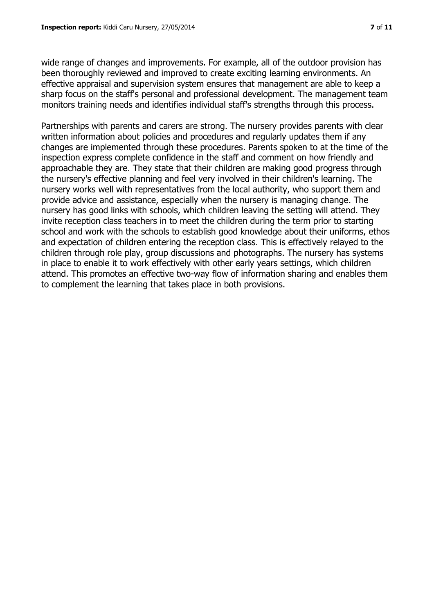wide range of changes and improvements. For example, all of the outdoor provision has been thoroughly reviewed and improved to create exciting learning environments. An effective appraisal and supervision system ensures that management are able to keep a sharp focus on the staff's personal and professional development. The management team monitors training needs and identifies individual staff's strengths through this process.

Partnerships with parents and carers are strong. The nursery provides parents with clear written information about policies and procedures and regularly updates them if any changes are implemented through these procedures. Parents spoken to at the time of the inspection express complete confidence in the staff and comment on how friendly and approachable they are. They state that their children are making good progress through the nursery's effective planning and feel very involved in their children's learning. The nursery works well with representatives from the local authority, who support them and provide advice and assistance, especially when the nursery is managing change. The nursery has good links with schools, which children leaving the setting will attend. They invite reception class teachers in to meet the children during the term prior to starting school and work with the schools to establish good knowledge about their uniforms, ethos and expectation of children entering the reception class. This is effectively relayed to the children through role play, group discussions and photographs. The nursery has systems in place to enable it to work effectively with other early years settings, which children attend. This promotes an effective two-way flow of information sharing and enables them to complement the learning that takes place in both provisions.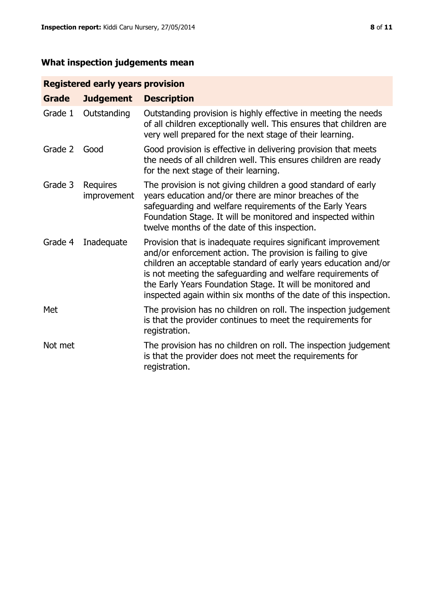# **What inspection judgements mean**

# **Registered early years provision**

| <b>Grade</b> | <b>Judgement</b>        | <b>Description</b>                                                                                                                                                                                                                                                                                                                                                                                |
|--------------|-------------------------|---------------------------------------------------------------------------------------------------------------------------------------------------------------------------------------------------------------------------------------------------------------------------------------------------------------------------------------------------------------------------------------------------|
| Grade 1      | Outstanding             | Outstanding provision is highly effective in meeting the needs<br>of all children exceptionally well. This ensures that children are<br>very well prepared for the next stage of their learning.                                                                                                                                                                                                  |
| Grade 2      | Good                    | Good provision is effective in delivering provision that meets<br>the needs of all children well. This ensures children are ready<br>for the next stage of their learning.                                                                                                                                                                                                                        |
| Grade 3      | Requires<br>improvement | The provision is not giving children a good standard of early<br>years education and/or there are minor breaches of the<br>safeguarding and welfare requirements of the Early Years<br>Foundation Stage. It will be monitored and inspected within<br>twelve months of the date of this inspection.                                                                                               |
| Grade 4      | Inadequate              | Provision that is inadequate requires significant improvement<br>and/or enforcement action. The provision is failing to give<br>children an acceptable standard of early years education and/or<br>is not meeting the safeguarding and welfare requirements of<br>the Early Years Foundation Stage. It will be monitored and<br>inspected again within six months of the date of this inspection. |
| Met          |                         | The provision has no children on roll. The inspection judgement<br>is that the provider continues to meet the requirements for<br>registration.                                                                                                                                                                                                                                                   |
| Not met      |                         | The provision has no children on roll. The inspection judgement<br>is that the provider does not meet the requirements for<br>registration.                                                                                                                                                                                                                                                       |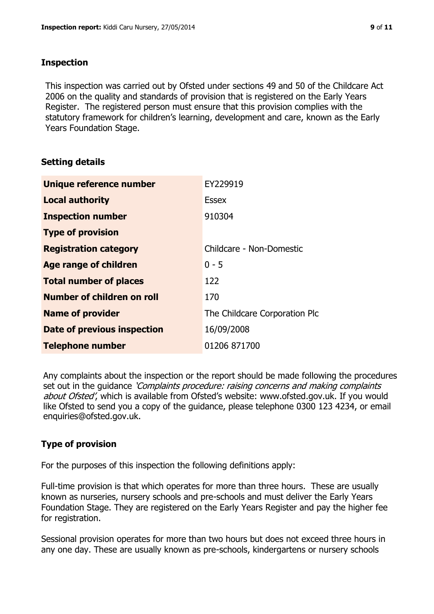#### **Inspection**

This inspection was carried out by Ofsted under sections 49 and 50 of the Childcare Act 2006 on the quality and standards of provision that is registered on the Early Years Register. The registered person must ensure that this provision complies with the statutory framework for children's learning, development and care, known as the Early Years Foundation Stage.

## **Setting details**

| Unique reference number            | EY229919                      |
|------------------------------------|-------------------------------|
| <b>Local authority</b>             | <b>Essex</b>                  |
| <b>Inspection number</b>           | 910304                        |
| <b>Type of provision</b>           |                               |
| <b>Registration category</b>       | Childcare - Non-Domestic      |
| Age range of children              | $0 - 5$                       |
| <b>Total number of places</b>      | 122                           |
| Number of children on roll         | 170                           |
| <b>Name of provider</b>            | The Childcare Corporation Plc |
| <b>Date of previous inspection</b> | 16/09/2008                    |
| <b>Telephone number</b>            | 01206 871700                  |

Any complaints about the inspection or the report should be made following the procedures set out in the guidance *'Complaints procedure: raising concerns and making complaints* about Ofsted', which is available from Ofsted's website: www.ofsted.gov.uk. If you would like Ofsted to send you a copy of the guidance, please telephone 0300 123 4234, or email enquiries@ofsted.gov.uk.

# **Type of provision**

For the purposes of this inspection the following definitions apply:

Full-time provision is that which operates for more than three hours. These are usually known as nurseries, nursery schools and pre-schools and must deliver the Early Years Foundation Stage. They are registered on the Early Years Register and pay the higher fee for registration.

Sessional provision operates for more than two hours but does not exceed three hours in any one day. These are usually known as pre-schools, kindergartens or nursery schools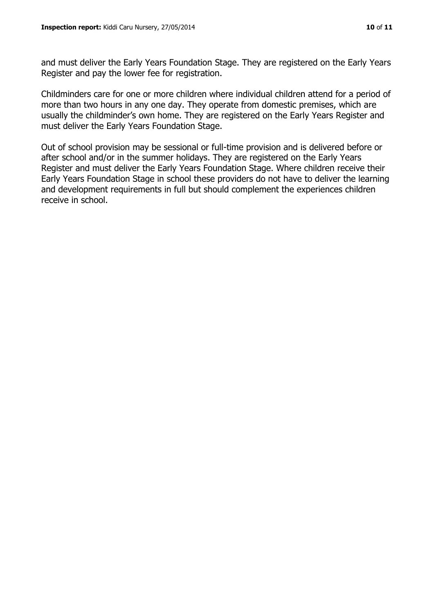and must deliver the Early Years Foundation Stage. They are registered on the Early Years Register and pay the lower fee for registration.

Childminders care for one or more children where individual children attend for a period of more than two hours in any one day. They operate from domestic premises, which are usually the childminder's own home. They are registered on the Early Years Register and must deliver the Early Years Foundation Stage.

Out of school provision may be sessional or full-time provision and is delivered before or after school and/or in the summer holidays. They are registered on the Early Years Register and must deliver the Early Years Foundation Stage. Where children receive their Early Years Foundation Stage in school these providers do not have to deliver the learning and development requirements in full but should complement the experiences children receive in school.